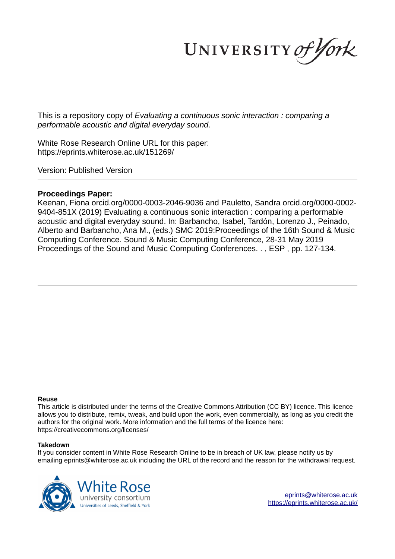UNIVERSITY of York

This is a repository copy of *Evaluating a continuous sonic interaction : comparing a performable acoustic and digital everyday sound*.

White Rose Research Online URL for this paper: https://eprints.whiterose.ac.uk/151269/

Version: Published Version

# **Proceedings Paper:**

Keenan, Fiona orcid.org/0000-0003-2046-9036 and Pauletto, Sandra orcid.org/0000-0002- 9404-851X (2019) Evaluating a continuous sonic interaction : comparing a performable acoustic and digital everyday sound. In: Barbancho, Isabel, Tardón, Lorenzo J., Peinado, Alberto and Barbancho, Ana M., (eds.) SMC 2019:Proceedings of the 16th Sound & Music Computing Conference. Sound & Music Computing Conference, 28-31 May 2019 Proceedings of the Sound and Music Computing Conferences. . , ESP , pp. 127-134.

# **Reuse**

This article is distributed under the terms of the Creative Commons Attribution (CC BY) licence. This licence allows you to distribute, remix, tweak, and build upon the work, even commercially, as long as you credit the authors for the original work. More information and the full terms of the licence here: https://creativecommons.org/licenses/

# **Takedown**

If you consider content in White Rose Research Online to be in breach of UK law, please notify us by emailing eprints@whiterose.ac.uk including the URL of the record and the reason for the withdrawal request.



eprints@whiterose.ac.uk https://eprints.whiterose.ac.uk/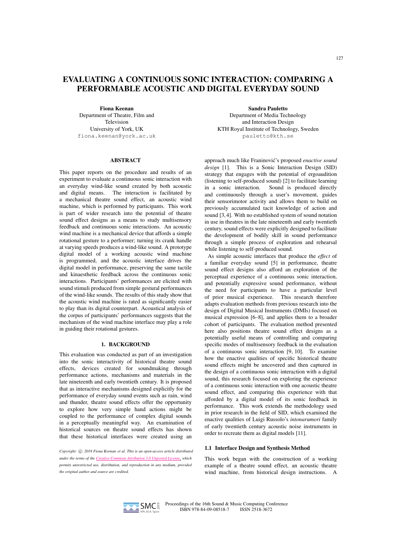# EVALUATING A CONTINUOUS SONIC INTERACTION: COMPARING A PERFORMABLE ACOUSTIC AND DIGITAL EVERYDAY SOUND

Fiona Keenan

Department of Theatre, Film and Television University of York, UK fiona.keenan@york.ac.uk

#### **ABSTRACT**

This paper reports on the procedure and results of an experiment to evaluate a continuous sonic interaction with an everyday wind-like sound created by both acoustic and digital means. The interaction is facilitated by a mechanical theatre sound effect, an acoustic wind machine, which is performed by participants. This work is part of wider research into the potential of theatre sound effect designs as a means to study multisensory feedback and continuous sonic interactions. An acoustic wind machine is a mechanical device that affords a simple rotational gesture to a performer; turning its crank handle at varying speeds produces a wind-like sound. A prototype digital model of a working acoustic wind machine is programmed, and the acoustic interface drives the digital model in performance, preserving the same tactile and kinaesthetic feedback across the continuous sonic interactions. Participants' performances are elicited with sound stimuli produced from simple gestural performances of the wind-like sounds. The results of this study show that the acoustic wind machine is rated as significantly easier to play than its digital counterpart. Acoustical analysis of the corpus of participants' performances suggests that the mechanism of the wind machine interface may play a role in guiding their rotational gestures.

# 1. BACKGROUND

This evaluation was conducted as part of an investigation into the sonic interactivity of historical theatre sound effects, devices created for soundmaking through performance actions, mechanisms and materials in the late nineteenth and early twentieth century. It is proposed that as interactive mechanisms designed explicitly for the performance of everyday sound events such as rain, wind and thunder, theatre sound effects offer the opportunity to explore how very simple hand actions might be coupled to the performance of complex digital sounds in a perceptually meaningful way. An examination of historical sources on theatre sound effects has shown that these historical interfaces were created using an

*Copyright:*  $\odot$  2019 Fiona *Keenan et al. This is an open-access article distributed under the terms of the Creative Commons Attribution 3.0 Unported License, which permits unrestricted use, distribution, and reproduction in any medium, provided the original author and source are credited.*

Sandra Pauletto Department of Media Technology and Interaction Design KTH Royal Institute of Technology, Sweden pauletto@kth.se

approach much like Franinović's proposed *enactive sound design* [1]. This is a Sonic Interaction Design (SID) strategy that engages with the potential of ergoaudition (listening to self-produced sound) [2] to facilitate learning in a sonic interaction. Sound is produced directly and continuously through a user's movement, guides their sensorimotor activity and allows them to build on previously accumulated tacit knowledge of action and sound [3,4]. With no established system of sound notation in use in theatres in the late nineteenth and early twentieth century, sound effects were explicitly designed to facilitate the development of bodily skill in sound performance through a simple process of exploration and rehearsal while listening to self-produced sound.

As simple acoustic interfaces that produce the *effect* of a familiar everyday sound [5] in performance, theatre sound effect designs also afford an exploration of the perceptual experience of a continuous sonic interaction, and potentially expressive sound performance, without the need for participants to have a particular level of prior musical experience. This research therefore adapts evaluation methods from previous research into the design of Digital Musical Instruments (DMIs) focused on musical expression [6–8], and applies them to a broader cohort of participants. The evaluation method presented here also positions theatre sound effect designs as a potentially useful means of controlling and comparing specific modes of multisensory feedback in the evaluation of a continuous sonic interaction [9, 10]. To examine how the enactive qualities of specific historical theatre sound effects might be uncovered and then captured in the design of a continuous sonic interaction with a digital sound, this research focused on exploring the experience of a continuous sonic interaction with one acoustic theatre sound effect, and comparing this experience with that afforded by a digital model of its sonic feedback in performance. This work extends the methodology used in prior research in the field of SID, which examined the enactive qualities of Luigi Russolo's *intonarumori* family of early twentieth century acoustic noise instruments in order to recreate them as digital models [11].

#### 1.1 Interface Design and Synthesis Method

This work began with the construction of a working example of a theatre sound effect, an acoustic theatre wind machine, from historical design instructions. A

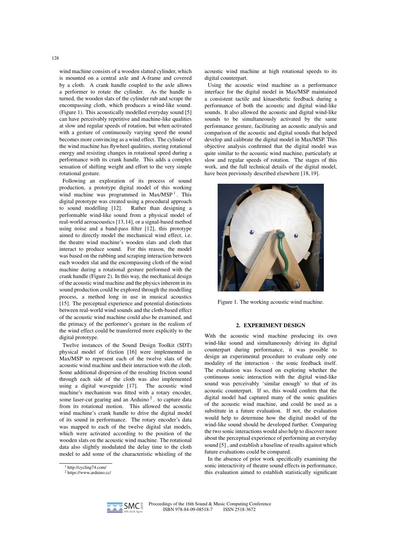wind machine consists of a wooden slatted cylinder, which is mounted on a central axle and A-frame and covered by a cloth. A crank handle coupled to the axle allows a performer to rotate the cylinder. As the handle is turned, the wooden slats of the cylinder rub and scrape the encompassing cloth, which produces a wind-like sound. (Figure 1). This acoustically modelled everyday sound [5] can have perceivably repetitive and machine-like qualities at slow and regular speeds of rotation, but when activated with a gesture of continuously varying speed the sound becomes more convincing as a wind effect. The cylinder of the wind machine has flywheel qualities, storing rotational energy and resisting changes in rotational speed during a performance with its crank handle. This adds a complex sensation of shifting weight and effort to the very simple rotational gesture.

Following an exploration of its process of sound production, a prototype digital model of this working wind machine was programmed in Max/MSP<sup>1</sup>. This digital prototype was created using a procedural approach to sound modelling [12]. Rather than designing a performable wind-like sound from a physical model of real-world aeroacoustics [13,14], or a signal-based method using noise and a band-pass filter [12], this prototype aimed to directly model the mechanical wind effect, i.e. the theatre wind machine's wooden slats and cloth that interact to produce sound. For this reason, the model was based on the rubbing and scraping interaction between each wooden slat and the encompassing cloth of the wind machine during a rotational gesture performed with the crank handle (Figure 2). In this way, the mechanical design of the acoustic wind machine and the physics inherent in its sound production could be explored through the modelling process, a method long in use in musical acoustics [15]. The perceptual experience and potential distinctions between real-world wind sounds and the cloth-based effect of the acoustic wind machine could also be examined, and the primacy of the performer's gesture in the realism of the wind effect could be transferred more explicitly to the digital prototype.

Twelve instances of the Sound Design Toolkit (SDT) physical model of friction [16] were implemented in Max/MSP to represent each of the twelve slats of the acoustic wind machine and their interaction with the cloth. Some additional dispersion of the resulting friction sound through each side of the cloth was also implemented using a digital waveguide [17]. The acoustic wind machine's mechanism was fitted with a rotary encoder, some laser-cut gearing and an Arduino<sup>2</sup>. to capture data from its rotational motion. This allowed the acoustic wind machine's crank handle to drive the digital model of its sound in performance. The rotary encoder's data was mapped to each of the twelve digital slat models, which were activated according to the position of the wooden slats on the acoustic wind machine. The rotational data also slightly modulated the delay time to the cloth model to add some of the characteristic whistling of the acoustic wind machine at high rotational speeds to its digital counterpart.

Using the acoustic wind machine as a performance interface for the digital model in Max/MSP maintained a consistent tactile and kinaesthetic feedback during a performance of both the acoustic and digital wind-like sounds. It also allowed the acoustic and digital wind-like sounds to be simultaneously activated by the same performance gesture, facilitating an acoustic analysis and comparison of the acoustic and digital sounds that helped develop and calibrate the digital model in Max/MSP. This objective analysis confirmed that the digital model was quite similar to the acoustic wind machine, particularly at slow and regular speeds of rotation. The stages of this work, and the full technical details of the digital model, have been previously described elsewhere [18, 19].



Figure 1. The working acoustic wind machine.

### 2. EXPERIMENT DESIGN

With the acoustic wind machine producing its own wind-like sound and simultaneously driving its digital counterpart during performance, it was possible to design an experimental procedure to evaluate only one modality of the interaction - the sonic feedback itself. The evaluation was focused on exploring whether the continuous sonic interaction with the digital wind-like sound was perceivably 'similar enough' to that of its acoustic counterpart. If so, this would confirm that the digital model had captured many of the sonic qualities of the acoustic wind machine, and could be used as a substitute in a future evaluation. If not, the evaluation would help to determine how the digital model of the wind-like sound should be developed further. Comparing the two sonic interactions would also help to discover more about the perceptual experience of performing an everyday sound [5] , and establish a baseline of results against which future evaluations could be compared.

In the absence of prior work specifically examining the sonic interactivity of theatre sound effects in performance, this evaluation aimed to establish statistically significant



<sup>1</sup> http://cycling74.com/

<sup>2</sup> https://www.arduino.cc/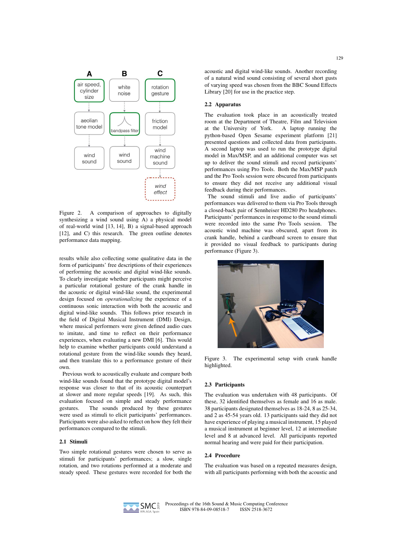

Figure 2. A comparison of approaches to digitally synthesizing a wind sound using A) a physical model of real-world wind [13, 14], B) a signal-based approach [12], and C) this research. The green outline denotes performance data mapping.

results while also collecting some qualitative data in the form of participants' free descriptions of their experiences of performing the acoustic and digital wind-like sounds. To clearly investigate whether participants might perceive a particular rotational gesture of the crank handle in the acoustic or digital wind-like sound, the experimental design focused on *operationalizing* the experience of a continuous sonic interaction with both the acoustic and digital wind-like sounds. This follows prior research in the field of Digital Musical Instrument (DMI) Design, where musical performers were given defined audio cues to imitate, and time to reflect on their performance experiences, when evaluating a new DMI [6]. This would help to examine whether participants could understand a rotational gesture from the wind-like sounds they heard, and then translate this to a performance gesture of their own.

Previous work to acoustically evaluate and compare both wind-like sounds found that the prototype digital model's response was closer to that of its acoustic counterpart at slower and more regular speeds [19]. As such, this evaluation focused on simple and steady performance gestures. The sounds produced by these gestures were used as stimuli to elicit participants' performances. Participants were also asked to reflect on how they felt their performances compared to the stimuli.

### 2.1 Stimuli

Two simple rotational gestures were chosen to serve as stimuli for participants' performances; a slow, single rotation, and two rotations performed at a moderate and steady speed. These gestures were recorded for both the acoustic and digital wind-like sounds. Another recording of a natural wind sound consisting of several short gusts of varying speed was chosen from the BBC Sound Effects Library [20] for use in the practice step.

# 2.2 Apparatus

The evaluation took place in an acoustically treated room at the Department of Theatre, Film and Television at the University of York. A laptop running the python-based Open Sesame experiment platform [21] presented questions and collected data from participants. A second laptop was used to run the prototype digital model in Max/MSP, and an additional computer was set up to deliver the sound stimuli and record participants' performances using Pro Tools. Both the Max/MSP patch and the Pro Tools session were obscured from participants to ensure they did not receive any additional visual feedback during their performances.

The sound stimuli and live audio of participants' performances was delivered to them via Pro Tools through a closed-back pair of Sennheiser HD280 Pro headphones. Participants' performances in response to the sound stimuli were recorded into the same Pro Tools session. The acoustic wind machine was obscured, apart from its crank handle, behind a cardboard screen to ensure that it provided no visual feedback to participants during performance (Figure 3).



Figure 3. The experimental setup with crank handle highlighted.

# 2.3 Participants

The evaluation was undertaken with 48 participants. Of these, 32 identified themselves as female and 16 as male. 38 participants designated themselves as 18-24, 8 as 25-34, and 2 as 45-54 years old. 13 participants said they did not have experience of playing a musical instrument, 15 played a musical instrument at beginner level, 12 at intermediate level and 8 at advanced level. All participants reported normal hearing and were paid for their participation.

### 2.4 Procedure

The evaluation was based on a repeated measures design, with all participants performing with both the acoustic and

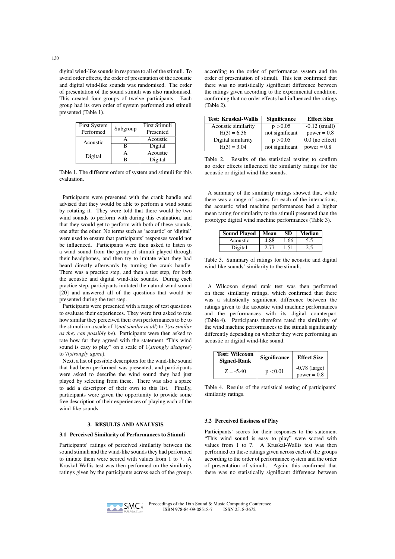digital wind-like sounds in response to all of the stimuli. To avoid order effects, the order of presentation of the acoustic and digital wind-like sounds was randomised. The order of presentation of the sound stimuli was also randomised. This created four groups of twelve participants. Each group had its own order of system performed and stimuli presented (Table 1).

| <b>First System</b> |          | <b>First Stimuli</b> |
|---------------------|----------|----------------------|
| Performed           | Subgroup | Presented            |
| Acoustic            |          | Acoustic             |
|                     | R        | Digital              |
| Digital             |          | Acoustic             |
|                     |          | Digital              |

Table 1. The different orders of system and stimuli for this evaluation.

Participants were presented with the crank handle and advised that they would be able to perform a wind sound by rotating it. They were told that there would be two wind sounds to perform with during this evaluation, and that they would get to perform with both of these sounds, one after the other. No terms such as 'acoustic' or 'digital' were used to ensure that participants' responses would not be influenced. Participants were then asked to listen to a wind sound from the group of stimuli played through their headphones, and then try to imitate what they had heard directly afterwards by turning the crank handle. There was a practice step, and then a test step, for both the acoustic and digital wind-like sounds. During each practice step, participants imitated the natural wind sound [20] and answered all of the questions that would be presented during the test step.

Participants were presented with a range of test questions to evaluate their experiences. They were first asked to rate how similar they perceived their own performances to be to the stimuli on a scale of 1(*not similar at all*) to 7(*as similar as they can possibly be*). Participants were then asked to rate how far they agreed with the statement "This wind sound is easy to play" on a scale of 1(*strongly disagree*) to 7(*strongly agree*).

Next, a list of possible descriptors for the wind-like sound that had been performed was presented, and participants were asked to describe the wind sound they had just played by selecting from these. There was also a space to add a descriptor of their own to this list. Finally, participants were given the opportunity to provide some free description of their experiences of playing each of the wind-like sounds.

# 3. RESULTS AND ANALYSIS

# 3.1 Perceived Similarity of Performances to Stimuli

Participants' ratings of perceived similarity between the sound stimuli and the wind-like sounds they had performed to imitate them were scored with values from 1 to 7. A Kruskal-Wallis test was then performed on the similarity ratings given by the participants across each of the groups

according to the order of performance system and the order of presentation of stimuli. This test confirmed that there was no statistically significant difference between the ratings given according to the experimental condition, confirming that no order effects had influenced the ratings (Table 2).

| <b>Test: Kruskal-Wallis</b> | <b>Significance</b> | <b>Effect Size</b> |
|-----------------------------|---------------------|--------------------|
| Acoustic similarity         | p > 0.05            | $-0.12$ (small)    |
| $H(3) = 6.36$               | not significant     | $power = 0.8$      |
| Digital similarity          | p > 0.05            | $0.0$ (no effect)  |
| $H(3) = 3.04$               | not significant     | $power = 0.8$      |

Table 2. Results of the statistical testing to confirm no order effects influenced the similarity ratings for the acoustic or digital wind-like sounds.

A summary of the similarity ratings showed that, while there was a range of scores for each of the interactions, the acoustic wind machine performances had a higher mean rating for similarity to the stimuli presented than the prototype digital wind machine performances (Table 3).

| <b>Sound Played</b> | Mean | <b>SD</b> | <b>Median</b> |
|---------------------|------|-----------|---------------|
| Acoustic            | 4.88 | 1.66      | 5.5           |
| Digital             | 2.77 | 1.51      | 2.5           |

Table 3. Summary of ratings for the acoustic and digital wind-like sounds' similarity to the stimuli.

A Wilcoxon signed rank test was then performed on these similarity ratings, which confirmed that there was a statistically significant difference between the ratings given to the acoustic wind machine performances and the performances with its digital counterpart (Table 4). Participants therefore rated the similarity of the wind machine performances to the stimuli significantly differently depending on whether they were performing an acoustic or digital wind-like sound.

| <b>Test: Wilcoxon</b><br><b>Signed-Rank</b> | <b>Significance</b> | <b>Effect Size</b>               |
|---------------------------------------------|---------------------|----------------------------------|
| $Z = -5.40$                                 | p < 0.01            | $-0.78$ (large)<br>$power = 0.8$ |

Table 4. Results of the statistical testing of participants' similarity ratings.

#### 3.2 Perceived Easiness of Play

Participants' scores for their responses to the statement "This wind sound is easy to play" were scored with values from 1 to 7. A Kruskal-Wallis test was then performed on these ratings given across each of the groups according to the order of performance system and the order of presentation of stimuli. Again, this confirmed that there was no statistically significant difference between

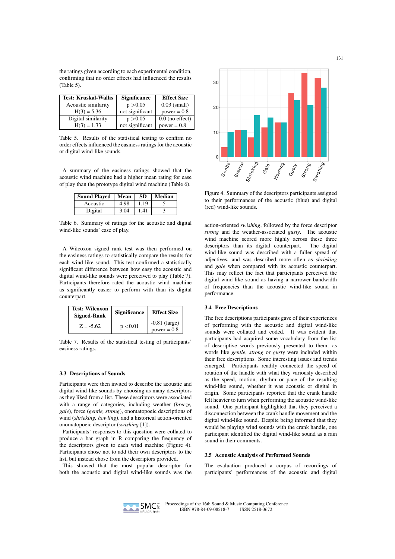the ratings given according to each experimental condition, confirming that no order effects had influenced the results (Table 5).

| <b>Test: Kruskal-Wallis</b> | <b>Significance</b> | <b>Effect Size</b> |
|-----------------------------|---------------------|--------------------|
| Acoustic similarity         | p > 0.05            | $0.03$ (small)     |
| $H(3) = 5.36$               | not significant     | $power = 0.8$      |
| Digital similarity          | p > 0.05            | $0.0$ (no effect)  |
| $H(3) = 1.33$               | not significant     | $power = 0.8$      |

Table 5. Results of the statistical testing to confirm no order effects influenced the easiness ratings for the acoustic or digital wind-like sounds.

A summary of the easiness ratings showed that the acoustic wind machine had a higher mean rating for ease of play than the prototype digital wind machine (Table 6).

| <b>Sound Played</b> | Mean | <b>SD</b> | Median |
|---------------------|------|-----------|--------|
| Acoustic            | 4.98 | 1.19      |        |
| Digital             | 3.04 | 1.41      |        |

Table 6. Summary of ratings for the acoustic and digital wind-like sounds' ease of play.

A Wilcoxon signed rank test was then performed on the easiness ratings to statistically compare the results for each wind-like sound. This test confirmed a statistically significant difference between how easy the acoustic and digital wind-like sounds were perceived to play (Table 7). Participants therefore rated the acoustic wind machine as significantly easier to perform with than its digital counterpart.

| <b>Test: Wilcoxon</b><br><b>Signed-Rank</b> | <b>Significance</b> | <b>Effect Size</b>               |
|---------------------------------------------|---------------------|----------------------------------|
| $Z = -5.62$                                 | p < 0.01            | $-0.81$ (large)<br>$power = 0.8$ |

Table 7. Results of the statistical testing of participants' easiness ratings.

#### 3.3 Descriptions of Sounds

Participants were then invited to describe the acoustic and digital wind-like sounds by choosing as many descriptors as they liked from a list. These descriptors were associated with a range of categories, including weather (*breeze, gale*), force (*gentle, strong*), onomatopoeic descriptions of wind (*shrieking, howling*), and a historical action-oriented onomatopoeic descriptor (*swishing* [1]).

Participants' responses to this question were collated to produce a bar graph in R comparing the frequency of the descriptors given to each wind machine (Figure 4). Participants chose not to add their own descriptors to the list, but instead chose from the descriptors provided.

This showed that the most popular descriptor for both the acoustic and digital wind-like sounds was the



Figure 4. Summary of the descriptors participants assigned to their performances of the acoustic (blue) and digital (red) wind-like sounds.

action-oriented *swishing*, followed by the force descriptor *strong* and the weather-associated *gusty*. The acoustic wind machine scored more highly across these three descriptors than its digital counterpart. The digital wind-like sound was described with a fuller spread of adjectives, and was described more often as *shrieking* and *gale* when compared with its acoustic counterpart. This may reflect the fact that participants perceived the digital wind-like sound as having a narrower bandwidth of frequencies than the acoustic wind-like sound in performance.

# 3.4 Free Descriptions

The free descriptions participants gave of their experiences of performing with the acoustic and digital wind-like sounds were collated and coded. It was evident that participants had acquired some vocabulary from the list of descriptive words previously presented to them, as words like *gentle*, *strong* or *gusty* were included within their free descriptions. Some interesting issues and trends emerged. Participants readily connected the speed of rotation of the handle with what they variously described as the speed, motion, rhythm or pace of the resulting wind-like sound, whether it was acoustic or digital in origin. Some participants reported that the crank handle felt heavier to turn when performing the acoustic wind-like sound. One participant highlighted that they perceived a disconnection between the crank handle movement and the digital wind-like sound. Despite being informed that they would be playing wind sounds with the crank handle, one participant identified the digital wind-like sound as a rain sound in their comments.

# 3.5 Acoustic Analysis of Performed Sounds

The evaluation produced a corpus of recordings of participants' performances of the acoustic and digital

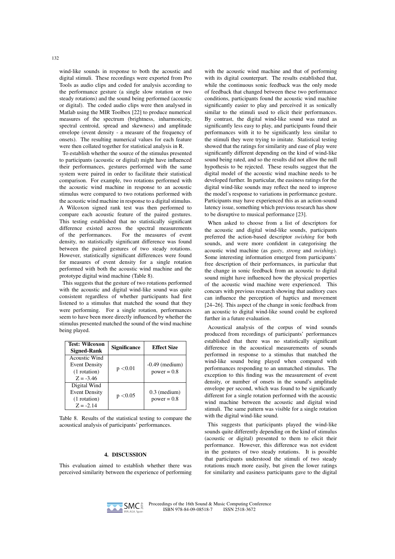wind-like sounds in response to both the acoustic and digital stimuli. These recordings were exported from Pro Tools as audio clips and coded for analysis according to the performance gesture (a single slow rotation or two steady rotations) and the sound being performed (acoustic or digital). The coded audio clips were then analysed in Matlab using the MIR Toolbox [22] to produce numerical measures of the spectrum (brightness, inharmonicity, spectral centroid, spread and skewness) and amplitude envelope (event density - a measure of the frequency of onsets). The resulting numerical values for each feature were then collated together for statistical analysis in R.

To establish whether the source of the stimulus presented to participants (acoustic or digital) might have influenced their performances, gestures performed with the same system were paired in order to facilitate their statistical comparison. For example, two rotations performed with the acoustic wind machine in response to an acoustic stimulus were compared to two rotations performed with the acoustic wind machine in response to a digital stimulus. A Wilcoxon signed rank test was then performed to compare each acoustic feature of the paired gestures. This testing established that no statistically significant difference existed across the spectral measurements of the performances. For the measures of event density, no statistically significant difference was found between the paired gestures of two steady rotations. However, statistically significant differences were found for measures of event density for a single rotation performed with both the acoustic wind machine and the prototype digital wind machine (Table 8).

This suggests that the gesture of two rotations performed with the acoustic and digital wind-like sound was quite consistent regardless of whether participants had first listened to a stimulus that matched the sound that they were performing. For a single rotation, performances seem to have been more directly influenced by whether the stimulus presented matched the sound of the wind machine being played.

| <b>Test: Wilcoxon</b><br><b>Signed-Rank</b>                          | <b>Significance</b> | <b>Effect Size</b>                |
|----------------------------------------------------------------------|---------------------|-----------------------------------|
| Acoustic Wind<br><b>Event Density</b><br>(1 rotation)<br>$Z = -3.46$ | p < 0.01            | $-0.49$ (medium)<br>$power = 0.8$ |
| Digital Wind<br><b>Event Density</b><br>(1 rotation)<br>$Z = -2.14$  | p < 0.05            | $0.3$ (medium)<br>$power = 0.8$   |

Table 8. Results of the statistical testing to compare the acoustical analysis of participants' performances.

# 4. DISCUSSION

This evaluation aimed to establish whether there was perceived similarity between the experience of performing with the acoustic wind machine and that of performing with its digital counterpart. The results established that, while the continuous sonic feedback was the only mode of feedback that changed between these two performance conditions, participants found the acoustic wind machine significantly easier to play and perceived it as sonically similar to the stimuli used to elicit their performances. By contrast, the digital wind-like sound was rated as significantly less easy to play, and participants found their performances with it to be significantly less similar to the stimuli they were trying to imitate. Statistical testing showed that the ratings for similarity and ease of play were significantly different depending on the kind of wind-like sound being rated, and so the results did not allow the null hypothesis to be rejected. These results suggest that the digital model of the acoustic wind machine needs to be developed further. In particular, the easiness ratings for the digital wind-like sounds may reflect the need to improve the model's response to variations in performance gesture. Participants may have experienced this as an action-sound latency issue, something which previous research has show to be disruptive to musical performance [23].

When asked to choose from a list of descriptors for the acoustic and digital wind-like sounds, participants preferred the action-based descriptor *swishing* for both sounds, and were more confident in categorising the acoustic wind machine (as *gusty*, *strong* and *swishing*). Some interesting information emerged from participants' free description of their performances, in particular that the change in sonic feedback from an acoustic to digital sound might have influenced how the physical properties of the acoustic wind machine were experienced. This concurs with previous research showing that auditory cues can influence the perception of haptics and movement [24–26]. This aspect of the change in sonic feedback from an acoustic to digital wind-like sound could be explored further in a future evaluation.

Acoustical analysis of the corpus of wind sounds produced from recordings of participants' performances established that there was no statistically significant difference in the acoustical measurements of sounds performed in response to a stimulus that matched the wind-like sound being played when compared with performances responding to an unmatched stimulus. The exception to this finding was the measurement of event density, or number of onsets in the sound's amplitude envelope per second, which was found to be significantly different for a single rotation performed with the acoustic wind machine between the acoustic and digital wind stimuli. The same pattern was visible for a single rotation with the digital wind-like sound.

This suggests that participants played the wind-like sounds quite differently depending on the kind of stimulus (acoustic or digital) presented to them to elicit their performance. However, this difference was not evident in the gestures of two steady rotations. It is possible that participants understood the stimuli of two steady rotations much more easily, but given the lower ratings for similarity and easiness participants gave to the digital

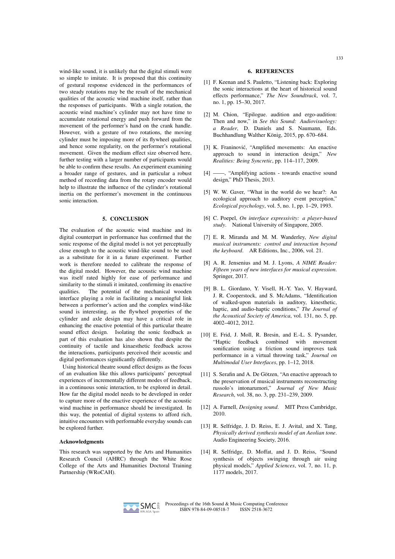wind-like sound, it is unlikely that the digital stimuli were so simple to imitate. It is proposed that this continuity of gestural response evidenced in the performances of two steady rotations may be the result of the mechanical qualities of the acoustic wind machine itself, rather than the responses of participants. With a single rotation, the acoustic wind machine's cylinder may not have time to accumulate rotational energy and push forward from the movement of the performer's hand on the crank handle. However, with a gesture of two rotations, the moving cylinder must be imposing more of its flywheel qualities, and hence some regularity, on the performer's rotational movement. Given the medium effect size observed here, further testing with a larger number of participants would be able to confirm these results. An experiment examining a broader range of gestures, and in particular a robust method of recording data from the rotary encoder would help to illustrate the influence of the cylinder's rotational inertia on the performer's movement in the continuous sonic interaction.

#### 5. CONCLUSION

The evaluation of the acoustic wind machine and its digital counterpart in performance has confirmed that the sonic response of the digital model is not yet perceptually close enough to the acoustic wind-like sound to be used as a substitute for it in a future experiment. Further work is therefore needed to calibrate the response of the digital model. However, the acoustic wind machine was itself rated highly for ease of performance and similarity to the stimuli it imitated, confirming its enactive qualities. The potential of the mechanical wooden interface playing a role in facilitating a meaningful link between a performer's action and the complex wind-like sound is interesting, as the flywheel properties of the cylinder and axle design may have a critical role in enhancing the enactive potential of this particular theatre sound effect design. Isolating the sonic feedback as part of this evaluation has also shown that despite the continuity of tactile and kinaesthetic feedback across the interactions, participants perceived their acoustic and digital performances significantly differently.

Using historical theatre sound effect designs as the focus of an evaluation like this allows participants' perceptual experiences of incrementally different modes of feedback, in a continuous sonic interaction, to be explored in detail. How far the digital model needs to be developed in order to capture more of the enactive experience of the acoustic wind machine in performance should be investigated. In this way, the potential of digital systems to afford rich, intuitive encounters with performable everyday sounds can be explored further.

#### Acknowledgments

This research was supported by the Arts and Humanities Research Council (AHRC) through the White Rose College of the Arts and Humanities Doctoral Training Partnership (WRoCAH).

#### 6. REFERENCES

- [1] F. Keenan and S. Pauletto, "Listening back: Exploring the sonic interactions at the heart of historical sound effects performance," *The New Soundtrack*, vol. 7, no. 1, pp. 15–30, 2017.
- [2] M. Chion, "Epilogue. audition and ergo-audition: Then and now," in *See this Sound: Audiovisuology: a Reader*, D. Daniels and S. Naumann, Eds. Buchhandlung Walther König, 2015, pp. 670–684.
- [3] K. Franinović, "Amplified movements: An enactive approach to sound in interaction design," *New Realities: Being Syncretic*, pp. 114–117, 2009.
- [4] ——, "Amplifying actions towards enactive sound design," PhD Thesis, 2013.
- [5] W. W. Gaver, "What in the world do we hear?: An ecological approach to auditory event perception," *Ecological psychology*, vol. 5, no. 1, pp. 1–29, 1993.
- [6] C. Poepel, *On interface expressivity: a player-based study*. National University of Singapore, 2005.
- [7] E. R. Miranda and M. M. Wanderley, *New digital musical instruments: control and interaction beyond the keyboard*. AR Editions, Inc., 2006, vol. 21.
- [8] A. R. Jensenius and M. J. Lyons, *A NIME Reader: Fifteen years of new interfaces for musical expression*. Springer, 2017.
- [9] B. L. Giordano, Y. Visell, H.-Y. Yao, V. Hayward, J. R. Cooperstock, and S. McAdams, "Identification of walked-upon materials in auditory, kinesthetic, haptic, and audio-haptic conditions," *The Journal of the Acoustical Society of America*, vol. 131, no. 5, pp. 4002–4012, 2012.
- [10] E. Frid, J. Moll, R. Bresin, and E.-L. S. Pysander, "Haptic feedback combined with movement sonification using a friction sound improves task performance in a virtual throwing task," *Journal on Multimodal User Interfaces*, pp. 1–12, 2018.
- [11] S. Serafin and A. De Götzen, "An enactive approach to the preservation of musical instruments reconstructing russolo's intonarumori," *Journal of New Music Research*, vol. 38, no. 3, pp. 231–239, 2009.
- [12] A. Farnell, *Designing sound*. MIT Press Cambridge, 2010.
- [13] R. Selfridge, J. D. Reiss, E. J. Avital, and X. Tang, *Physically derived synthesis model of an Aeolian tone*. Audio Engineering Society, 2016.
- [14] R. Selfridge, D. Moffat, and J. D. Reiss, "Sound synthesis of objects swinging through air using physical models," *Applied Sciences*, vol. 7, no. 11, p. 1177 models, 2017.